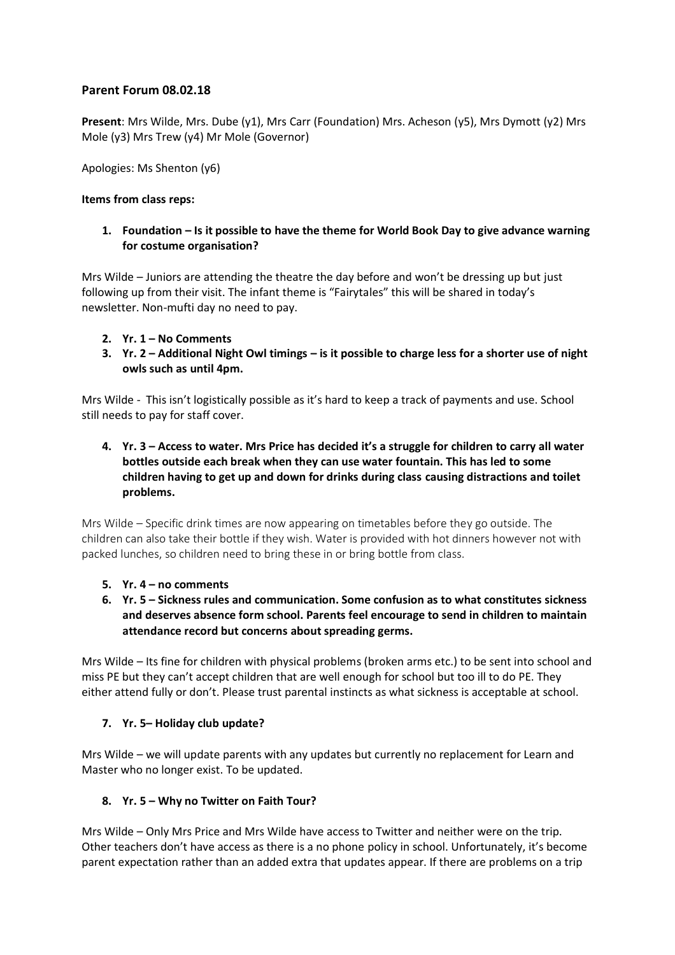# **Parent Forum 08.02.18**

**Present**: Mrs Wilde, Mrs. Dube (y1), Mrs Carr (Foundation) Mrs. Acheson (y5), Mrs Dymott (y2) Mrs Mole (y3) Mrs Trew (y4) Mr Mole (Governor)

Apologies: Ms Shenton (y6)

**Items from class reps:** 

#### **1. Foundation – Is it possible to have the theme for World Book Day to give advance warning for costume organisation?**

Mrs Wilde – Juniors are attending the theatre the day before and won't be dressing up but just following up from their visit. The infant theme is "Fairytales" this will be shared in today's newsletter. Non-mufti day no need to pay.

- **2. Yr. 1 – No Comments**
- **3. Yr. 2 – Additional Night Owl timings – is it possible to charge less for a shorter use of night owls such as until 4pm.**

Mrs Wilde - This isn't logistically possible as it's hard to keep a track of payments and use. School still needs to pay for staff cover.

**4. Yr. 3 – Access to water. Mrs Price has decided it's a struggle for children to carry all water bottles outside each break when they can use water fountain. This has led to some children having to get up and down for drinks during class causing distractions and toilet problems.** 

Mrs Wilde – Specific drink times are now appearing on timetables before they go outside. The children can also take their bottle if they wish. Water is provided with hot dinners however not with packed lunches, so children need to bring these in or bring bottle from class.

- **5. Yr. 4 – no comments**
- **6. Yr. 5 – Sickness rules and communication. Some confusion as to what constitutes sickness and deserves absence form school. Parents feel encourage to send in children to maintain attendance record but concerns about spreading germs.**

Mrs Wilde – Its fine for children with physical problems (broken arms etc.) to be sent into school and miss PE but they can't accept children that are well enough for school but too ill to do PE. They either attend fully or don't. Please trust parental instincts as what sickness is acceptable at school.

### **7. Yr. 5– Holiday club update?**

Mrs Wilde – we will update parents with any updates but currently no replacement for Learn and Master who no longer exist. To be updated.

### **8. Yr. 5 – Why no Twitter on Faith Tour?**

Mrs Wilde – Only Mrs Price and Mrs Wilde have access to Twitter and neither were on the trip. Other teachers don't have access as there is a no phone policy in school. Unfortunately, it's become parent expectation rather than an added extra that updates appear. If there are problems on a trip